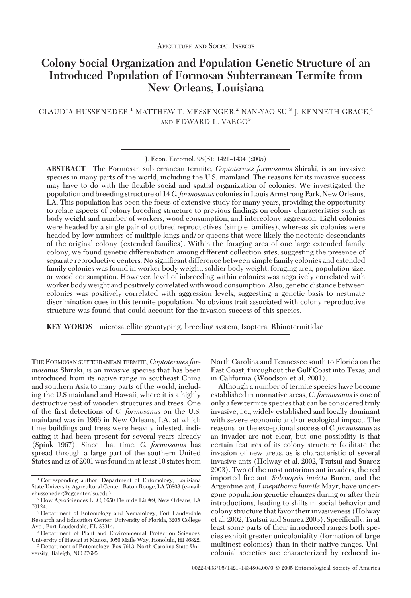# **Colony Social Organization and Population Genetic Structure of an Introduced Population of Formosan Subterranean Termite from New Orleans, Louisiana**

CLAUDIA HUSSENEDER,<sup>1</sup> MATTHEW T. MESSENGER,<sup>2</sup> NAN-YAO SU,<sup>3</sup> J. KENNETH GRACE,<sup>4</sup> AND EDWARD L. VARGO5

**ABSTRACT** The Formosan subterranean termite, *Coptotermes formosanus* Shiraki, is an invasive species in many parts of the world, including the U.S. mainland. The reasons for its invasive success may have to do with the ßexible social and spatial organization of colonies. We investigated the population and breeding structure of 14*C*.*formosanus* colonies in Louis Armstrong Park, New Orleans, LA. This population has been the focus of extensive study for many years, providing the opportunity to relate aspects of colony breeding structure to previous findings on colony characteristics such as body weight and number of workers, wood consumption, and intercolony aggression. Eight colonies were headed by a single pair of outbred reproductives (simple families), whereas six colonies were headed by low numbers of multiple kings and/or queens that were likely the neotenic descendants of the original colony (extended families). Within the foraging area of one large extended family colony, we found genetic differentiation among different collection sites, suggesting the presence of separate reproductive centers. No significant difference between simple family colonies and extended family colonies was found in worker body weight, soldier body weight, foraging area, population size, or wood consumption. However, level of inbreeding within colonies was negatively correlated with worker body weight and positively correlated with wood consumption. Also, genetic distance between colonies was positively correlated with aggression levels, suggesting a genetic basis to nestmate discrimination cues in this termite population. No obvious trait associated with colony reproductive structure was found that could account for the invasion success of this species.

**KEY WORDS** microsatellite genotyping, breeding system, Isoptera, Rhinotermitidae

THE FORMOSAN SUBTERRANEAN TERMITE, *Coptotermes formosanus* Shiraki, is an invasive species that has been introduced from its native range in southeast China and southern Asia to many parts of the world, including the U.S mainland and Hawaii, where it is a highly destructive pest of wooden structures and trees. One of the first detections of *C. formosanus* on the U.S. mainland was in 1966 in New Orleans, LA, at which time buildings and trees were heavily infested, indicating it had been present for several years already (Spink 1967). Since that time, *C. formosanus* has spread through a large part of the southern United States and as of 2001 was foundin atleast 10 states from North Carolina and Tennessee south to Florida on the East Coast, throughout the Gulf Coast into Texas, and in California (Woodson et al. 2001).

Although a number of termite species have become established in nonnative areas, *C. formosanus* is one of only a few termite species that can be considered truly invasive, i.e., widely established and locally dominant with severe economic and/or ecological impact. The reasons for the exceptional success of *C. formosanus* as an invader are not clear, but one possibility is that certain features of its colony structure facilitate the invasion of new areas, as is characteristic of several invasive ants (Holway et al. 2002, Tsutsui and Suarez 2003). Two of the most notorious ant invaders, the red imported fire ant, *Solenopsis invicta* Buren, and the Argentine ant, *Linepithema humile* Mayr, have undergone population genetic changes during or after their introductions, leading to shifts in social behavior and colony structure that favor their invasiveness (Holway et al. 2002, Tsutsui and Suarez 2003). Specifically, in at least some parts of their introduced ranges both species exhibit greater unicoloniality (formation of large multinest colonies) than in their native ranges. Unicolonial societies are characterized by reduced in-

J. Econ. Entomol. 98(5): 1421-1434 (2005)

<sup>1</sup> Corresponding author: Department of Entomology, Louisiana State University Agricultural Center, Baton Rouge, LA 70803 (e-mail: chusseneder@agcenter.lsu.edu).

<sup>2</sup> Dow AgroSciences LLC, 6650 Fleur de Lis #9, New Orleans, LA 70124.

<sup>3</sup> Department of Entomology and Nematology, Fort Lauderdale Research and Education Center, University of Florida, 3205 College Ave., Fort Lauderdale, FL 33314.

<sup>4</sup> Department of Plant and Environmental Protection Sciences, University of Hawaii at Manoa, 3050 Maile Way, Honolulu, HI 96822.

<sup>5</sup> Department of Entomology, Box 7613, North Carolina State University, Raleigh, NC 27695.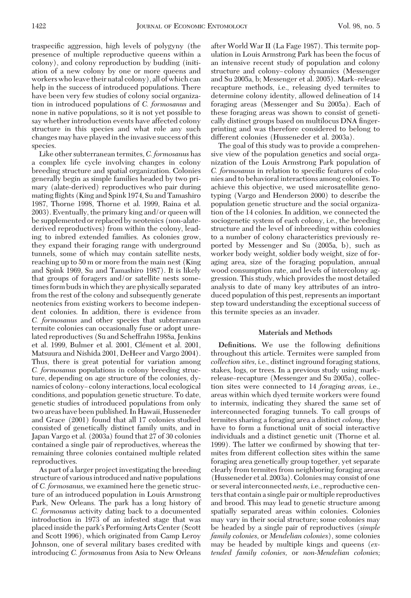traspecific aggression, high levels of polygyny (the presence of multiple reproductive queens within a colony), and colony reproduction by budding (initiation of a new colony by one or more queens and workers wholeave their natal colony), all of which can help in the success of introduced populations. There have been very few studies of colony social organization in introduced populations of *C. formosanus* and none in native populations, so it is not yet possible to say whether introduction events have affected colony structure in this species and what role any such changes may have played in the invasive success of this species.

Like other subterranean termites,*C. formosanus* has a complex life cycle involving changes in colony breeding structure and spatial organization. Colonies generally begin as simple families headed by two primary (alate-derived) reproductives who pair during mating ßights (King and Spink 1974, Su and Tamashiro 1987, Thorne 1998, Thorne et al. 1999, Raina et al. 2003). Eventually, the primary king and/or queen will be supplemented or replaced by neotenics (non-alatederived reproductives) from within the colony, leading to inbred extended families. As colonies grow, they expand their foraging range with underground tunnels, some of which may contain satellite nests, reaching up to 50 m or more from the main nest (King and Spink 1969, Su and Tamashiro 1987). It is likely that groups of foragers and/or satellite nests sometimes form budsin which they are physically separated from the rest of the colony and subsequently generate neotenics from existing workers to become independent colonies. In addition, there is evidence from *C. formosanus* and other species that subterranean termite colonies can occasionally fuse or adopt unrelated reproductives (Su and Scheffrahn 1988a, Jenkins et al. 1999, Bulmer et al. 2001, Clément et al. 2001, Matsuura and Nishida 2001, DeHeer and Vargo 2004). Thus, there is great potential for variation among *C. formosanus* populations in colony breeding structure, depending on age structure of the colonies, dynamics of colony-colony interactions, local ecological conditions, and population genetic structure. To date, genetic studies of introduced populations from only two areas have been published. In Hawaii, Husseneder and Grace (2001) found that all 17 colonies studied consisted of genetically distinct family units, and in Japan Vargo et al. (2003a) found that 27 of 30 colonies contained a single pair of reproductives, whereas the remaining three colonies contained multiple related reproductives.

As part of a larger project investigating the breeding structure of various introduced and native populations of *C. formosanus,* we examined here the genetic structure of an introduced population in Louis Armstrong Park, New Orleans. The park has a long history of *C. formosanus* activity dating back to a documented introduction in 1973 of an infested stage that was placed inside the park's Performing Arts Center (Scott and Scott 1996), which originated from Camp Leroy Johnson, one of several military bases credited with introducing *C. formosa*nus from Asia to New Orleans

after World War II (La Fage 1987). This termite population in Louis Armstrong Park has been the focus of an intensive recent study of population and colony structure and colony–colony dynamics (Messenger and Su 2005a, b; Messenger et al. 2005). Mark–release recapture methods, i.e., releasing dyed termites to determine colony identity, allowed delineation of 14 foraging areas (Messenger and Su 2005a). Each of these foraging areas was shown to consist of genetically distinct groups based on multilocus DNA fingerprinting and was therefore considered to belong to different colonies (Husseneder et al. 2003a).

The goal of this study was to provide a comprehensive view of the population genetics and social organization of the Louis Armstrong Park population of *C. formosanus* in relation to specific features of colonies and to behavioral interactions among colonies. To achieve this objective, we used microsatellite genotyping (Vargo and Henderson 2000) to describe the population genetic structure and the social organization of the 14 colonies. In addition, we connected the sociogenetic system of each colony, i.e., the breeding structure and the level of inbreeding within colonies to a number of colony characteristics previously reported by Messenger and Su (2005a, b), such as worker body weight, soldier body weight, size of foraging area, size of the foraging population, annual wood consumption rate, and levels of intercolony aggression. This study, which provides the most detailed analysis to date of many key attributes of an introduced population of this pest, represents an important step toward understanding the exceptional success of this termite species as an invader.

### **Materials and Methods**

**Definitions.** We use the following definitions throughout this article. Termites were sampled from *collection sites,* i.e., distinct inground foraging stations, stakes, logs, or trees. In a previous study using mark– release–recapture (Messenger and Su 2005a), collection sites were connected to 14 *foraging areas,* i.e., areas within which dyed termite workers were found to intermix, indicating they shared the same set of interconnected foraging tunnels. To call groups of termites sharing a foraging area a distinct *colony,* they have to form a functional unit of social interactive individuals and a distinct genetic unit (Thorne et al. 1999). The latter we confirmed by showing that termites from different collection sites within the same foraging area genetically group together, yet separate clearly from termites from neighboring foraging areas (Husseneder et al. 2003a). Colonies may consist of one or several interconnected *nests,* i.e., reproductive centers that contain a single pair or multiple reproductives and brood. This may lead to genetic structure among spatially separated areas within colonies. Colonies may vary in their social structure; some colonies may be headed by a single pair of reproductives (*simple family colonies,* or *Mendelian colonies*), some colonies may be headed by multiple kings and queens (*extended family colonies,* or *non-Mendelian colonies;*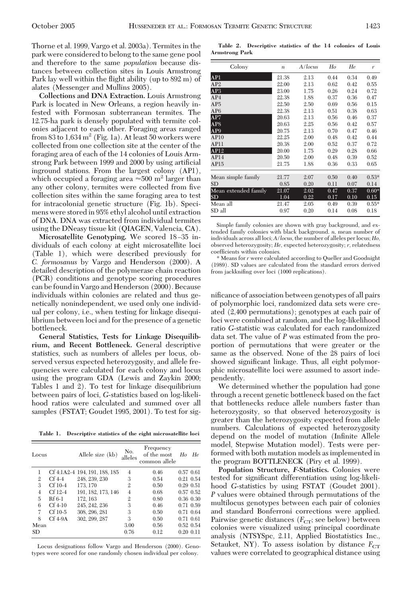Thorne et al. 1999, Vargo et al. 2003a). Termites in the park were considered to belong to the same gene pool and therefore to the same *population* because distances between collection sites in Louis Armstrong Park lay well within the ßight ability (up to 892 m) of alates (Messenger and Mullins 2005).

**Collections and DNA Extraction.** Louis Armstrong Park is located in New Orleans, a region heavily infested with Formosan subterranean termites. The 12.75-ha park is densely populated with termite colonies adjacent to each other. Foraging areas ranged from 83 to  $1,634$  m<sup>2</sup> (Fig. 1a). At least 50 workers were collected from one collection site at the center of the foraging area of each of the 14 colonies of Louis Armstrong Park between 1999 and 2000 by using artificial inground stations. From the largest colony (AP1), which occupied a foraging area  $\approx 500$  m<sup>2</sup> larger than any other colony, termites were collected from five collection sites within the same foraging area to test for intracolonial genetic structure (Fig. 1b). Specimens were stored in 95% ethyl alcohol until extraction of DNA. DNA was extracted from individual termites using the DNeasy tissue kit (QIAGEN, Valencia, CA).

Microsatellite Genotyping. We scored 18-35 individuals of each colony at eight microsatellite loci (Table 1), which were described previously for *C. formosanus* by Vargo and Henderson (2000). A detailed description of the polymerase chain reaction (PCR) conditions and genotype scoring procedures can be foundin Vargo and Henderson (2000). Because individuals within colonies are related and thus genetically nonindependent, we used only one individual per colony, i.e., when testing for linkage disequilibrium between loci and for the presence of a genetic bottleneck.

**General Statistics, Tests for Linkage Disequilibrium, and Recent Bottleneck.** General descriptive statistics, such as numbers of alleles per locus, observed versus expected heterozygosity, and allele frequencies were calculated for each colony and locus using the program GDA (Lewis and Zaykin 2000; Tables 1 and 2). To test for linkage disequilibrium between pairs of loci, *G*-statistics based on log-likelihood ratios were calculated and summed over all samples (FSTAT; Goudet 1995, 2001). To test for sig-

**Table 1. Descriptive statistics of the eight microsatellite loci**

| Locus          |           | Allele size (kb)              | No.<br>alleles | Frequency<br>of the most<br>common allele | Ho            | He        |
|----------------|-----------|-------------------------------|----------------|-------------------------------------------|---------------|-----------|
|                |           | Cf 4:1A2-4 194, 191, 188, 185 | 4              | 0.46                                      | 0.57 0.61     |           |
| $\mathfrak{2}$ | $Cf$ 4-4  | 248, 239, 230                 | 3              | 0.54                                      | 0.21 0.54     |           |
| 3              | $Cf10-4$  | 173, 170                      | $\mathfrak{2}$ | 0.50                                      | $0.29$ $0.51$ |           |
| 4              | $Cf12-4$  | 191, 182, 173, 146            | 4              | 0.68                                      | 0.57 0.52     |           |
| 5              | $Rf6-1$   | 172, 163                      | $\mathfrak{2}$ | 0.80                                      | 0.36 0.30     |           |
| 6              | $Cf$ 4-10 | 245, 242, 236                 | 3              | 0.46                                      | 0.71 0.59     |           |
| 7              | $Cf10-5$  | 308, 296, 281                 | 3              | 0.50                                      | 0.71 0.64     |           |
| 8              | $Cf4-9A$  | 302, 299, 287                 | 3              | 0.50                                      | 0.71 0.61     |           |
| Mean           |           |                               | 3.00           | 0.56                                      |               | 0.52 0.54 |
| SD.            |           |                               | 0.76           | 0.12                                      | $0.20\;0.11$  |           |

Locus designations follow Vargo and Henderson (2000). Genotypes were scored for one randomly chosen individual per colony.

**Table 2. Descriptive statistics of the 14 colonies of Louis Armstrong Park**

| Colony               | $\boldsymbol{n}$ | A/locus | Ho   | He   | r       |
|----------------------|------------------|---------|------|------|---------|
| AP1                  | 21.38            | 2.13    | 0.44 | 0.34 | 0.49    |
| AP <sub>2</sub>      | 22.00            | 2.13    | 0.62 | 0.42 | 0.55    |
| AP <sub>3</sub>      | 23.00            | 1.75    | 0.26 | 0.24 | 0.72    |
| AP4                  | 22.38            | 1.88    | 0.37 | 0.36 | 0.47    |
| AP5                  | 22.50            | 2.50    | 0.69 | 0.56 | 0.15    |
| AP <sub>6</sub>      | 22.38            | 2.13    | 0.51 | 0.38 | 0.63    |
| AP7                  | 20.63            | 2.13    | 0.56 | 0.46 | 0.37    |
| AP <sub>8</sub>      | 20.63            | 2.25    | 0.56 | 0.42 | 0.57    |
| AP9                  | 20.75            | 2.13    | 0.70 | 0.47 | 0.46    |
| AP10                 | 22.25            | 2.00    | 0.48 | 0.42 | 0.44    |
| AP11                 | 20.38            | 2.00    | 0.52 | 0.37 | 0.72    |
| AP12                 | 20.00            | 1.75    | 0.29 | 0.28 | 0.66    |
| AP14                 | 20.50            | 2.00    | 0.48 | 0.39 | 0.52    |
| AP15                 | 21.75            | 1.88    | 0.36 | 0.33 | 0.65    |
| Mean simple family   | 21.77            | 2.07    | 0.50 | 0.40 | $0.53*$ |
| SD                   | 0.85             | 0.20    | 0.11 | 0.07 | 0.14    |
| Mean extended family | 21.07            | 2.02    | 0.47 | 0.37 | $0.60*$ |
| $_{\rm SD}$          | 1.04             | 0.22    | 0.17 | 0.10 | 0.15    |
| Mean all             | 21.47            | 2.05    | 0.49 | 0.39 | $0.55*$ |
| SD all               | 0.97             | 0.20    | 0.14 | 0.08 | 0.18    |

Simple family colonies are shown with gray background, and extended family colonies with black background. *n*, mean number of individuals across all loci; *A/locus*, the number of alleles per locus; *Ho*, observed heterozygosity; *He*, expected heterozygosity; *r*, relatedness coefficients within colonies.

\* Means for *r* were calculated according to Queller and Goodnight (1989). SD values are calculated from the standard errors derived from jackknifing over loci (1000 replications).

nificance of association between genotypes of all pairs of polymorphic loci, randomized data sets were created (2,400 permutations); genotypes at each pair of loci were combined at random, and the log-likelihood ratio *G*-statistic was calculated for each randomized data set. The value of *P* was estimated from the proportion of permutations that were greater or the same as the observed. None of the 28 pairs of loci showed significant linkage. Thus, all eight polymorphic microsatellite loci were assumed to assort independently.

We determined whether the population had gone through a recent genetic bottleneck based on the fact that bottlenecks reduce allele numbers faster than heterozygosity, so that observed heterozygosity is greater than the heterozygosity expected from allele numbers. Calculations of expected heterozygosity depend on the model of mutation (Infinite Allele model, Stepwise Mutation model). Tests were performed with both mutation models as implemented in the program BOTTLENECK (Piry et al. 1999).

**Population Structure,** *F***-Statistics.** Colonies were tested for significant differentiation using log-likelihood *G*-statistics by using FSTAT (Goudet 2001). *P* values were obtained through permutations of the multilocus genotypes between each pair of colonies and standard Bonferroni corrections were applied. Pairwise genetic distances  $(F_{CT};$  see below) between colonies were visualized using principal coordinate analysis (NTSYSpc, 2.11, Applied Biostatistics Inc., Setauket, NY). To assess isolation by distance  $F_{CT}$ values were correlated to geographical distance using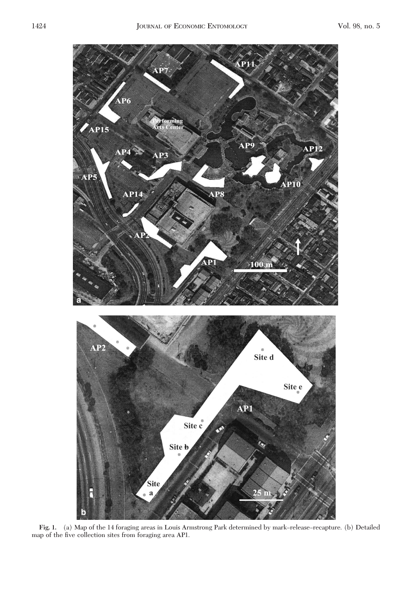

Fig. 1. (a) Map of the 14 foraging areas in Louis Armstrong Park determined by mark-release-recapture. (b) Detailed map of the five collection sites from foraging area AP1.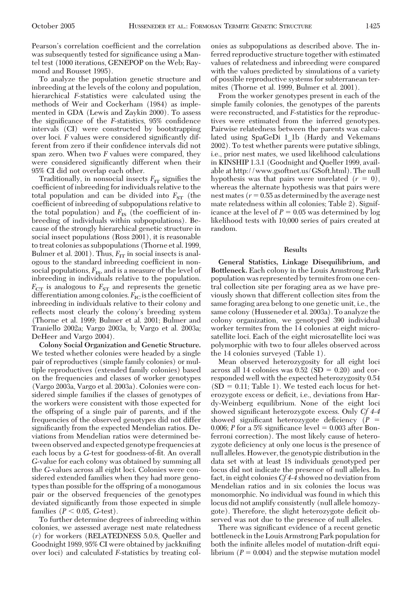Pearson's correlation coefficient and the correlation was subsequently tested for significance using a Mantel test (1000 iterations, GENEPOP on the Web; Raymond and Rousset 1995).

To analyze the population genetic structure and inbreeding at the levels of the colony and population, hierarchical *F*-statistics were calculated using the methods of Weir and Cockerham (1984) as implemented in GDA (Lewis and Zaykin 2000). To assess the significance of the *F*-statistics, 95% confidence intervals (CI) were constructed by bootstrapping over loci. *F* values were considered significantly different from zero if their confidence intervals did not span zero. When two *F* values were compared, they were considered significantly different when their 95% CI did not overlap each other.

Traditionally, in nonsocial insects  $F_{IT}$  signifies the coefficient of inbreeding for individuals relative to the total population and can be divided into  $F_{ST}$  (the coefficient of inbreeding of subpopulations relative to the total population) and  $F_{\text{IS}}$  (the coefficient of inbreeding of individuals within subpopulations). Because of the strongly hierarchical genetic structure in social insect populations (Ross 2001), it is reasonable to treat colonies as subpopulations (Thorne et al. 1999, Bulmer et al. 2001). Thus,  $F_{IT}$  in social insects is analogous to the standard inbreeding coefficient in nonsocial populations,  $F_{IS}$ , and is a measure of the level of inbreeding in individuals relative to the population.  $F_{CT}$  is analogous to  $F_{ST}$  and represents the genetic differentiation among colonies.  $F_{\text{IC}}$  is the coefficient of inbreeding in individuals relative to their colony and reflects most clearly the colony's breeding system (Thorne et al. 1999; Bulmer et al. 2001; Bulmer and Traniello 2002a; Vargo 2003a, b; Vargo et al. 2003a; DeHeer and Vargo 2004).

**Colony Social Organization and Genetic Structure.** We tested whether colonies were headed by a single pair of reproductives (simple family colonies) or multiple reproductives (extended family colonies) based on the frequencies and classes of worker genotypes (Vargo 2003a, Vargo et al. 2003a). Colonies were considered simple families if the classes of genotypes of the workers were consistent with those expected for the offspring of a single pair of parents, and if the frequencies of the observed genotypes did not differ significantly from the expected Mendelian ratios. Deviations from Mendelian ratios were determined between observed and expected genotype frequencies at each locus by a *G*-test for goodness-of-fit. An overall *G*-value for each colony was obtained by summing all the *G-*values across all eight loci. Colonies were considered extended families when they had more genotypes than possible for the offspring of a monogamous pair or the observed frequencies of the genotypes deviated significantly from those expected in simple families  $(P < 0.05, G$ -test).

To further determine degrees of inbreeding within colonies, we assessed average nest mate relatedness (*r*) for workers (RELATEDNESS 5.0.8, Queller and Goodnight 1989, 95% CI were obtained by jackknifing over loci) and calculated *F*-statistics by treating colonies as subpopulations as described above. The inferred reproductive structure together with estimated values of relatedness and inbreeding were compared with the values predicted by simulations of a variety of possible reproductive systems for subterranean termites (Thorne et al. 1999, Bulmer et al. 2001).

From the worker genotypes present in each of the simple family colonies, the genotypes of the parents were reconstructed, and *F*-statistics for the reproductives were estimated from the inferred genotypes. Pairwise relatedness between the parents was calculated using SpaGeDi 1\_1b (Hardy and Vekemans 2002). To test whether parents were putative siblings, i.e., prior nest mates, we used likelihood calculations in KINSHIP 1.3.1 (Goodnight and Queller 1999, available at http://www.gsoftnet.us/GSoft.html). The null hypothesis was that pairs were unrelated  $(r = 0)$ , whereas the alternate hypothesis was that pairs were nest mates  $(r = 0.55$  as determined by the average nest mate relatedness within all colonies; Table 2). Significance at the level of  $P = 0.05$  was determined by log likelihood tests with 10,000 series of pairs created at random.

#### **Results**

**General Statistics, Linkage Disequilibrium, and Bottleneck.** Each colony in the Louis Armstrong Park population was represented by termites from one central collection site per foraging area as we have previously shown that different collection sites from the same foraging area belong to one genetic unit, i.e., the same colony (Husseneder et al. 2003a). To analyze the colony organization, we genotyped 390 individual worker termites from the 14 colonies at eight microsatellite loci. Each of the eight microsatellite loci was polymorphic with two to four alleles observed across the 14 colonies surveyed (Table 1).

Mean observed heterozygosity for all eight loci across all 14 colonies was  $0.52$  (SD = 0.20) and corresponded well with the expected heterozygosity 0.54  $(SD = 0.11;$  Table 1). We tested each locus for heterozygote excess or deficit, i.e., deviations from Hardy-Weinberg equilibrium. None of the eight loci showed significant heterozygote excess. Only Cf 4-4 showed significant heterozygote deficiency  $(P =$ 0.006; P for a 5% significance level  $= 0.003$  after Bonferroni correction). The most likely cause of heterozygote deficiency at only one locus is the presence of null alleles. However, the genotypic distribution in the data set with at least 18 individuals genotyped per locus did not indicate the presence of null alleles. In fact, in eight colonies *Cf 4-4* showed no deviation from Mendelian ratios and in six colonies the locus was monomorphic. No individual was found in which this locus did not amplify consistently (null allele homozygote). Therefore, the slight heterozygote deficit observed was not due to the presence of null alleles.

There was significant evidence of a recent genetic bottleneck in the Louis Armstrong Park population for both the infinite alleles model of mutation-drift equilibrium  $(P = 0.004)$  and the stepwise mutation model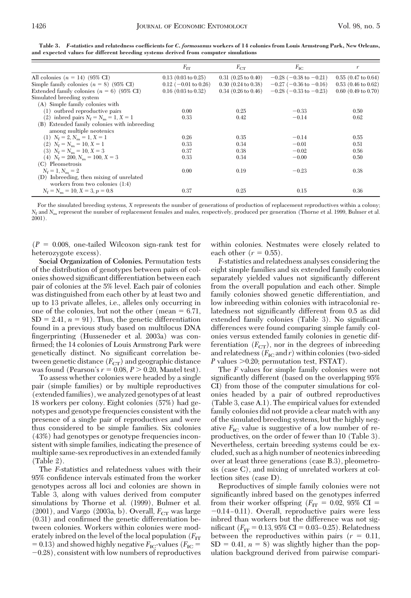|                                              | $F_{TT}$               | $F_{CT}$                         | $F_{\rm IC}$                   | $\mathcal{r}$                 |
|----------------------------------------------|------------------------|----------------------------------|--------------------------------|-------------------------------|
|                                              |                        |                                  |                                |                               |
| All colonies $(n = 14)$ (95% CI)             | $0.13$ (0.03 to 0.25)  | $0.31$ $(0.25 \text{ to } 0.40)$ | $-0.28$ ( $-0.38$ to $-0.21$ ) | $0.55(0.47 \text{ to } 0.64)$ |
| Simple family colonies $(n = 8)$ (95% CI)    | $0.12$ (-0.01 to 0.26) | $0.30(0.24 \text{ to } 0.38)$    | $-0.27$ ( $-0.36$ to $-0.16$ ) | $0.53$ (0.46 to 0.62)         |
| Extended family colonies $(n = 6)$ (95% CI)  | $0.16$ (0.03 to 0.32)  | $0.34$ (0.26 to 0.46)            | $-0.28$ ( $-0.33$ to $-0.23$ ) | $0.60$ $(0.49$ to $0.70)$     |
| Simulated breeding system                    |                        |                                  |                                |                               |
| (A) Simple family colonies with              |                        |                                  |                                |                               |
| (1) outbred reproductive pairs               | 0.00                   | 0.25                             | $-0.33$                        | 0.50                          |
| (2) indeed pairs $N_f = N_m = 1, X = 1$      | 0.33                   | 0.42                             | $-0.14$                        | 0.62                          |
| (B) Extended family colonies with inbreeding |                        |                                  |                                |                               |
| among multiple neotenics                     |                        |                                  |                                |                               |
| $(1)$ $N_f = 2, N_m = 1, X = 1$              | 0.26                   | 0.35                             | $-0.14$                        | 0.55                          |
| $(2)$ $N_f = N_m = 10, X = 1$                | 0.33                   | 0.34                             | $-0.01$                        | 0.51                          |
| (3) $N_f = N_m = 10, X = 3$                  | 0.37                   | 0.38                             | $-0.02$                        | 0.56                          |
| (4) $N_f = 200$ , $N_m = 100$ , $X = 3$      | 0.33                   | 0.34                             | $-0.00$                        | 0.50                          |
| $(C)$ Pleometrosis                           |                        |                                  |                                |                               |
| $N_f = 1, N_m = 2$                           | 0.00                   | 0.19                             | $-0.23$                        | 0.38                          |
| (D) Inbreeding, then mixing of unrelated     |                        |                                  |                                |                               |
| workers from two colonies $(1:4)$            |                        |                                  |                                |                               |
| $N_f = N_m = 10, X = 3, p = 0.8$             | 0.37                   | 0.25                             | 0.15                           | 0.36                          |

**Table 3.** *F***-statistics and relatedness coefficients for** *C. formosanus* **workers of 14 colonies from Louis Armstrong Park, New Orleans, and expected values for different breeding systems derived from computer simulations**

For the simulated breeding systems, *X* represents the number of generations of production of replacement reproductives within a colony; *N*<sup>f</sup> and *N*<sup>m</sup> represent the number of replacement females and males, respectively, produced per generation (Thorne et al. 1999, Bulmer et al. 2001).

 $(P = 0.008,$  one-tailed Wilcoxon sign-rank test for heterozygote excess).

**Social Organization of Colonies.** Permutation tests of the distribution of genotypes between pairs of colonies showed significant differentiation between each pair of colonies at the 5% level. Each pair of colonies was distinguished from each other by at least two and up to 13 private alleles, i.e., alleles only occurring in one of the colonies, but not the other (mean  $= 6.71$ ,  $SD = 2.41, n = 91$ . Thus, the genetic differentiation found in a previous study based on multilocus DNA fingerprinting (Husseneder et al. 2003a) was confirmed; the 14 colonies of Louis Armstrong Park were genetically distinct. No significant correlation between genetic distance  $(F_{CT})$  and geographic distance was found (Pearson's  $r = 0.08$ ,  $P > 0.20$ , Mantel test).

To assess whether colonies were headed by a single pair (simple families) or by multiple reproductives (extended families), we analyzed genotypes of at least 18 workers per colony. Eight colonies (57%) had genotypes and genotype frequencies consistent with the presence of a single pair of reproductives and were thus considered to be simple families. Six colonies (43%) had genotypes or genotype frequencies inconsistent with simple families, indicating the presence of multiple same-sex reproductives in an extended family (Table 2).

The *F*-statistics and relatedness values with their 95% confidence intervals estimated from the worker genotypes across all loci and colonies are shown in Table 3, along with values derived from computer simulations by Thorne et al. (1999), Bulmer et al.  $(2001)$ , and Vargo  $(2003a, b)$ . Overall,  $F_{CT}$  was large  $(0.31)$  and confirmed the genetic differentiation between colonies. Workers within colonies were moderately inbred on the level of the local population ( $F_{IT}$ = 0.13) and showed highly negative  $F_{\text{IC}}$ -values ( $F_{\text{IC}}$  =  $-0.28$ ), consistent with low numbers of reproductives within colonies. Nestmates were closely related to each other  $(r = 0.55)$ .

*F*-statistics and relatedness analyses considering the eight simple families and six extended family colonies separately yielded values not significantly different from the overall population and each other. Simple family colonies showed genetic differentiation, and low inbreeding within colonies with intracolonial relatedness not significantly different from 0.5 as did extended family colonies (Table 3). No significant differences were found comparing simple family colonies versus extended family colonies in genetic differentiation  $(F_{CT})$ , nor in the degrees of inbreeding and relatedness  $(F_{\text{IC}}$  and r) within colonies (two-sided  $P$  values  $>0.20$ ; permutation test, FSTAT).

The *F* values for simple family colonies were not significantly different (based on the overlapping  $95%$ CI) from those of the computer simulations for colonies headed by a pair of outbred reproductives (Table 3, case A.1). The empirical values for extended family colonies did not provide a clear match with any of the simulated breeding systems, but the highly negative  $F_{\text{IC}}$  value is suggestive of a low number of reproductives, on the order of fewer than 10 (Table 3). Nevertheless, certain breeding systems could be excluded, such as a high number of neotenics inbreeding over at least three generations (case B.3), pleometrosis (case C), and mixing of unrelated workers at collection sites (case D).

Reproductives of simple family colonies were not significantly inbred based on the genotypes inferred from their worker offspring ( $F_{IT}$  = 0.02, 95% CI =  $-0.14 - 0.11$ ). Overall, reproductive pairs were less inbred than workers but the difference was not significant ( $F_{IT} = 0.13, 95\% \text{ CI} = 0.03 - 0.25$ ). Relatedness between the reproductives within pairs  $(r = 0.11,$  $SD = 0.41$ ,  $n = 8$ ) was slightly higher than the population background derived from pairwise compari-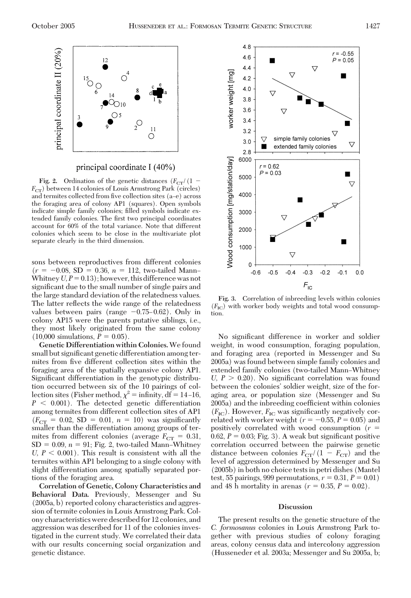

## principal coordinate I  $(40\%)$

**Fig. 2.** Ordination of the genetic distances  $(F_{CT}/(1 F_{CT}$ ) between 14 colonies of Louis Armstrong Park (circles) and termites collected from five collection sites (a-e) across the foraging area of colony AP1 (squares). Open symbols indicate simple family colonies; filled symbols indicate extended family colonies. The first two principal coordinates account for 60% of the total variance. Note that different colonies which seem to be close in the multivariate plot separate clearly in the third dimension.

sons between reproductives from different colonies  $(r = -0.08, SD = 0.36, n = 112, two-tailed Mann-$ Whitney  $U, P = 0.13$ ; however, this difference was not significant due to the small number of single pairs and the large standard deviation of the relatedness values. The latter reßects the wide range of the relatedness values between pairs (range  $-0.75-0.62$ ). Only in colony AP15 were the parents putative siblings, i.e., they most likely originated from the same colony  $(10,000 \text{ simulations}, P = 0.05)$ .

**Genetic Differentiation within Colonies.**We found small but significant genetic differentiation among termites from five different collection sites within the foraging area of the spatially expansive colony AP1. Significant differentiation in the genotypic distribution occurred between six of the 10 pairings of collection sites (Fisher method,  $\chi^2$  = infinity, df = 14-16,  $P \leq 0.001$ ). The detected genetic differentiation among termites from different collection sites of AP1  $(F_{CT} = 0.02, SD = 0.01, n = 10)$  was significantly smaller than the differentiation among groups of termites from different colonies (average  $F_{CT} = 0.31$ ,  $SD = 0.09$ ,  $n = 91$ ; Fig. 2, two-tailed Mann-Whitney  $U, P \leq 0.001$ ). This result is consistent with all the termites within AP1 belonging to a single colony with slight differentiation among spatially separated portions of the foraging area.

**Correlation of Genetic, Colony Characteristics and Behavioral Data.** Previously, Messenger and Su (2005a, b) reported colony characteristics and aggression of termite colonies in Louis Armstrong Park. Colony characteristics were described for 12 colonies, and aggression was described for 11 of the colonies investigated in the current study. We correlated their data with our results concerning social organization and genetic distance.



**Fig. 3.** Correlation of inbreeding levels within colonies  $(F_{\text{IC}})$  with worker body weights and total wood consumption.

No significant difference in worker and soldier weight, in wood consumption, foraging population, and foraging area (reported in Messenger and Su 2005a) was found between simple family colonies and extended family colonies (two-tailed Mann-Whitney *U,*  $P > 0.20$ *. No significant correlation was found* between the colonies' soldier weight, size of the foraging area, or population size (Messenger and Su 2005a) and the inbreeding coefficient within colonies  $(F_{\text{IC}})$ . However,  $F_{\text{IC}}$  was significantly negatively correlated with worker weight  $(r = -0.55, P = 0.05)$  and positively correlated with wood consumption (*r* 0.62,  $P = 0.03$ ; Fig. 3). A weak but significant positive correlation occurred between the pairwise genetic distance between colonies  $F_{CT}/(1 - F_{CT})$  and the level of aggression determined by Messenger and Su (2005b) in both no choice tests in petri dishes (Mantel test, 55 pairings, 999 permutations,  $r = 0.31, P = 0.01$ and 48 h mortality in arenas  $(r = 0.35, P = 0.02)$ .

#### **Discussion**

The present results on the genetic structure of the *C. formosanus* colonies in Louis Armstrong Park together with previous studies of colony foraging areas, colony census data and intercolony aggression (Husseneder et al. 2003a; Messenger and Su 2005a, b;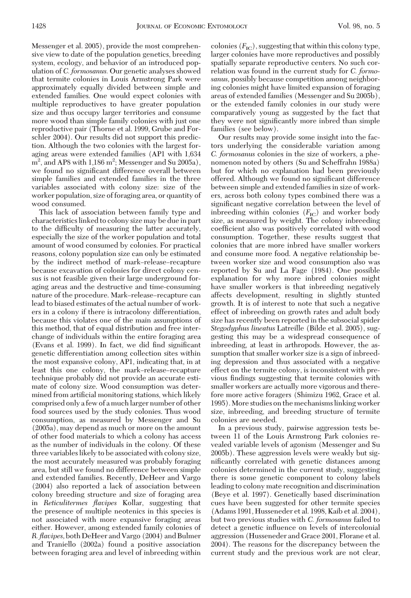Messenger et al. 2005), provide the most comprehensive view to date of the population genetics, breeding system, ecology, and behavior of an introduced population of *C. formosanus.* Our genetic analyses showed that termite colonies in Louis Armstrong Park were approximately equally divided between simple and extended families. One would expect colonies with multiple reproductives to have greater population size and thus occupy larger territories and consume more wood than simple family colonies with just one reproductive pair (Thorne et al. 1999, Grube and Forschler 2004). Our results did not support this prediction. Although the two colonies with the largest foraging areas were extended families (AP1 with 1,634  $m^2$ , and AP8 with 1,186 m<sup>2</sup>; Messenger and Su 2005a), we found no significant difference overall between simple families and extended families in the three variables associated with colony size: size of the worker population, size of foraging area, or quantity of wood consumed.

This lack of association between family type and characteristics linked to colony size may be due in part to the difficulty of measuring the latter accurately, especially the size of the worker population and total amount of wood consumed by colonies. For practical reasons, colony population size can only be estimated by the indirect method of mark–release–recapture because excavation of colonies for direct colony census is not feasible given their large underground foraging areas and the destructive and time-consuming nature of the procedure. Mark-release-recapture can lead to biased estimates of the actual number of workers in a colony if there is intracolony differentiation, because this violates one of the main assumptions of this method, that of equal distribution and free interchange of individuals within the entire foraging area (Evans et al. 1999). In fact, we did find significant genetic differentiation among collection sites within the most expansive colony, AP1, indicating that, in at least this one colony, the mark–release–recapture technique probably did not provide an accurate estimate of colony size. Wood consumption was determined from artificial monitoring stations, which likely comprised only a few of a muchlarger number of other food sources used by the study colonies. Thus wood consumption, as measured by Messenger and Su (2005a), may depend as much or more on the amount of other food materials to which a colony has access as the number of individuals in the colony. Of these three variables likely to be associated with colony size, the most accurately measured was probably foraging area, but still we found no difference between simple and extended families. Recently, DeHeer and Vargo (2004) also reported a lack of association between colony breeding structure and size of foraging area in *Reticulitermes flavipes* Kollar, suggesting that the presence of multiple neotenics in this species is not associated with more expansive foraging areas either. However, among extended family colonies of *R. flavipes,*both DeHeer and Vargo (2004) and Bulmer and Traniello (2002a) found a positive association between foraging area and level of inbreeding within

colonies  $(F_{\text{IC}})$ , suggesting that within this colony type, larger colonies have more reproductives and possibly spatially separate reproductive centers. No such correlation was found in the current study for *C. formosanus,* possibly because competition among neighboring colonies might have limited expansion of foraging areas of extended families (Messenger and Su 2005b), or the extended family colonies in our study were comparatively young as suggested by the fact that they were not significantly more inbred than simple families (see below).

Our results may provide some insight into the factors underlying the considerable variation among *C. formosanus* colonies in the size of workers, a phenomenon noted by others (Su and Scheffrahn 1988a) but for which no explanation had been previously offered. Although we found no significant difference between simple and extended families in size of workers, across both colony types combined there was a significant negative correlation between the level of inbreeding within colonies  $(F_{\text{IC}})$  and worker body size, as measured by weight. The colony inbreeding coefficient also was positively correlated with wood consumption. Together, these results suggest that colonies that are more inbred have smaller workers and consume more food. A negative relationship between worker size and wood consumption also was reported by Su and La Fage (1984). One possible explanation for why more inbred colonies might have smaller workers is that inbreeding negatively affects development, resulting in slightly stunted growth. It is of interest to note that such a negative effect of inbreeding on growth rates and adult body size has recently been reported in the subsocial spider *Stegodyphus lineatus* Latreille (Bilde et al. 2005), suggesting this may be a widespread consequence of inbreeding, at least in arthropods. However, the assumption that smaller worker size is a sign of inbreeding depression and thus associated with a negative effect on the termite colony, is inconsistent with previous findings suggesting that termite colonies with smaller workers are actually more vigorous and therefore more active foragers (Shimizu 1962, Grace et al. 1995).More studies on the mechanismslinking worker size, inbreeding, and breeding structure of termite colonies are needed.

In a previous study, pairwise aggression tests between 11 of the Louis Armstrong Park colonies revealed variable levels of agonism (Messenger and Su 2005b). These aggression levels were weakly but significantly correlated with genetic distances among colonies determined in the current study, suggesting there is some genetic component to colony labels leading to colony mate recognition and discrimination (Beye et al. 1997). Genetically based discrimination cues have been suggested for other termite species (Adams 1991, Husseneder et al. 1998, Kaib et al. 2004), but two previous studies with *C. formosanus* failed to detect a genetic inßuence on levels of intercolonial aggression (Husseneder and Grace 2001, Florane et al. 2004). The reasons for the discrepancy between the current study and the previous work are not clear,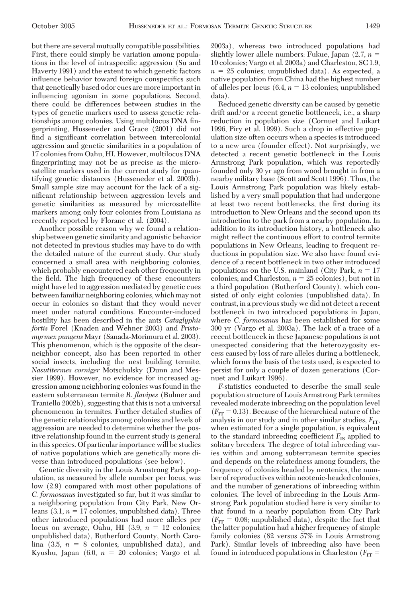but there are several mutually compatible possibilities. First, there could simply be variation among populations in the level of intraspecific aggression (Su and Haverty 1991) and the extent to which genetic factors influence behavior toward foreign conspecifics such that genetically based odor cues are more important in inßuencing agonism in some populations. Second, there could be differences between studies in the types of genetic markers used to assess genetic relationships among colonies. Using multilocus DNA fingerprinting, Husseneder and Grace (2001) did not find a significant correlation between intercolonial aggression and genetic similarities in a population of 17 colonies from Oahu, HI. However, multilocus DNA fingerprinting may not be as precise as the microsatellite markers used in the current study for quantifying genetic distances (Husseneder et al. 2003b). Small sample size may account for the lack of a significant relationship between aggression levels and genetic similarities as measured by microsatellite markers among only four colonies from Louisiana as recently reported by Florane et al. (2004).

Another possible reason why we found a relationship between genetic similarity and agonistic behavior not detected in previous studies may have to do with the detailed nature of the current study. Our study concerned a small area with neighboring colonies, which probably encountered each other frequently in the field. The high frequency of these encounters might have led to aggression mediated by genetic cues between familiar neighboring colonies, which may not occur in colonies so distant that they would never meet under natural conditions. Encounter-induced hostility has been described in the ants *Cataglyphis fortis* Forel (Knaden and Wehner 2003) and *Pristomyrmex pungens* Mayr (Sanada-Morimura et al. 2003). This phenomenon, which is the opposite of the dearneighbor concept, also has been reported in other social insects, including the nest building termite, *Nasutitermes corniger* Motschulsky (Dunn and Messier 1999). However, no evidence for increased aggression among neighboring colonies was found in the eastern subterranean termite *R. flavipes* (Bulmer and Traniello 2002b), suggesting that this is not a universal phenomenon in termites. Further detailed studies of the genetic relationships among colonies and levels of aggression are needed to determine whether the positive relationship found in the current study is general in this species. Of particular importance will be studies of native populations which are genetically more diverse than introduced populations (see below).

Genetic diversity in the Louis Armstrong Park population, as measured by allele number per locus, was low (2.9) compared with most other populations of *C. formosanus* investigated so far, but it was similar to a neighboring population from City Park, New Orleans  $(3.1, n = 17$  colonies, unpublished data). Three other introduced populations had more alleles per locus on average, Oahu, HI  $(3.9, n = 12 \text{ colonies};$ unpublished data), Rutherford County, North Caro- $\lim_{n \to \infty} (3.5, n = 8$  colonies; unpublished data), and Kyushu, Japan  $(6.0, n = 20$  colonies; Vargo et al.

2003a), whereas two introduced populations had slightly lower allele numbers: Fukue, Japan (2.7, *n* 10 colonies; Vargo et al. 2003a) and Charleston, SC 1.9,  $n = 25$  colonies; unpublished data). As expected, a native population from China had the highest number of alleles per locus  $(6.4, n = 13$  colonies; unpublished data).

Reduced genetic diversity can be caused by genetic drift and/or a recent genetic bottleneck, i.e., a sharp reduction in population size (Cornuet and Luikart 1996, Piry et al. 1999). Such a drop in effective population size often occurs when a species is introduced to a new area (founder effect). Not surprisingly, we detected a recent genetic bottleneck in the Louis Armstrong Park population, which was reportedly founded only 30 yr ago from wood brought in from a nearby military base (Scott and Scott 1996). Thus, the Louis Armstrong Park population was likely established by a very small population that had undergone at least two recent bottlenecks, the first during its introduction to New Orleans and the second upon its introduction to the park from a nearby population. In addition to its introduction history, a bottleneck also might reßect the continuous effort to control termite populations in New Orleans, leading to frequent reductions in population size. We also have found evidence of a recent bottleneck in two other introduced populations on the U.S. mainland (City Park,  $n = 17$ ) colonies; and Charleston,  $n = 25$  colonies), but not in a third population (Rutherford County), which consisted of only eight colonies (unpublished data). In contrast, in a previous study we did not detect a recent bottleneck in two introduced populations in Japan, where *C. formosanus* has been established for some 300 yr (Vargo et al. 2003a). The lack of a trace of a recent bottleneck in these Japanese populations is not unexpected considering that the heterozygosity excess caused by loss of rare alleles during a bottleneck, which forms the basis of the tests used, is expected to persist for only a couple of dozen generations (Cornuet and Luikart 1996).

*F*-statistics conducted to describe the small scale population structure of Louis Armstrong Park termites revealed moderate inbreeding on the population level  $(F_{IT} = 0.13)$ . Because of the hierarchical nature of the analysis in our study and in other similar studies,  $F_{IT}$ , when estimated for a single population, is equivalent to the standard inbreeding coefficient  $F_{\text{IS}}$  applied to solitary breeders. The degree of total inbreeding varies within and among subterranean termite species and depends on the relatedness among founders, the frequency of colonies headed by neotenics, the number of reproductives within neotenic-headed colonies, and the number of generations of inbreeding within colonies. The level of inbreeding in the Louis Armstrong Park population studied here is very similar to that found in a nearby population from City Park  $(F_{IT} = 0.08;$  unpublished data), despite the fact that the latter population had a higher frequency of simple family colonies (82 versus 57% in Louis Armstrong Park). Similar levels of inbreeding also have been found in introduced populations in Charleston  $(F_{IT} =$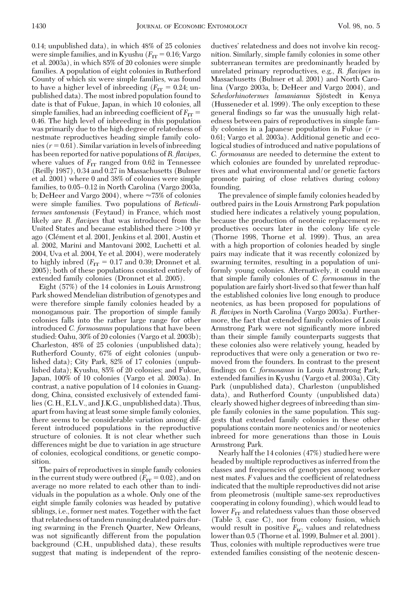0.14; unpublished data), in which 48% of 25 colonies were simple families, and in Kyushu ( $F_{IT} = 0.16$ ; Vargo et al. 2003a), in which 85% of 20 colonies were simple families. A population of eight colonies in Rutherford County of which six were simple families, was found to have a higher level of inbreeding  $(F_{IT} = 0.24;$  unpublished data). The most inbred population found to date is that of Fukue, Japan, in which 10 colonies, all simple families, had an inbreeding coefficient of  $F_{IT}$  = 0.46. The high level of inbreeding in this population was primarily due to the high degree of relatedness of nestmate reproductives heading simple family colonies ( $r = 0.61$ ). Similar variation in levels of inbreeding has been reported for native populations of *R. flavipes,* where values of  $F_{IT}$  ranged from 0.62 in Tennessee (Reilly 1987), 0.34 and 0.27 in Massachusetts (Bulmer et al. 2001) where 0 and 38% of colonies were simple families, to 0.05–0.12 in North Carolina (Vargo 2003a, b; DeHeer and Vargo 2004), where  $\approx 75\%$  of colonies were simple families. Two populations of *Reticulitermes santonensis* (Feytaud) in France, which most likely are *R. flavipes* that was introduced from the United States and became established there  $>100$  yr ago (Clément et al. 2001, Jenkins et al. 2001, Austin et al. 2002, Marini and Mantovani 2002, Luchetti et al. 2004, Uva et al. 2004, Ye et al. 2004), were moderately to highly inbred ( $F_{IT}$  = 0.17 and 0.39; Dronnet et al. 2005); both of these populations consisted entirely of extended family colonies (Dronnet et al. 2005).

Eight (57%) of the 14 colonies in Louis Armstrong Park showed Mendelian distribution of genotypes and were therefore simple family colonies headed by a monogamous pair. The proportion of simple family colonies falls into the rather large range for other introduced *C. formosanus* populations that have been studied: Oahu, 30% of 20 colonies (Vargo et al. 2003b); Charleston, 48% of 25 colonies (unpublished data); Rutherford County, 67% of eight colonies (unpublished data); City Park, 82% of 17 colonies (unpublished data); Kyushu, 85% of 20 colonies; and Fukue, Japan, 100% of 10 colonies (Vargo et al. 2003a). In contrast, a native population of 14 colonies in Guangdong, China, consisted exclusively of extended families (C. H., E.L.V., and J.K.G., unpublished data). Thus, apart from having at least some simple family colonies, there seems to be considerable variation among different introduced populations in the reproductive structure of colonies. It is not clear whether such differences might be due to variation in age structure of colonies, ecological conditions, or genetic composition.

The pairs of reproductives in simple family colonies in the current study were outbred  $(F_{\mathrm{IT}} = 0.02)$  , and on average no more related to each other than to individuals in the population as a whole. Only one of the eight simple family colonies was headed by putative siblings, i.e., former nest mates. Together with the fact that relatedness of tandem running dealated pairs during swarming in the French Quarter, New Orleans, was not significantly different from the population background (C.H., unpublished data), these results suggest that mating is independent of the reproductives' relatedness and does not involve kin recognition. Similarly, simple family colonies in some other subterranean termites are predominantly headed by unrelated primary reproductives, e.g., *R. flavipes* in Massachusetts (Bulmer et al. 2001) and North Carolina (Vargo 2003a, b; DeHeer and Vargo 2004), and Schedorhinotermes lamanianus Sjöstedt in Kenya (Husseneder et al. 1999). The only exception to these general findings so far was the unusually high relatedness between pairs of reproductives in simple family colonies in a Japanese population in Fukue (*r* 0.61; Vargo et al. 2003a). Additional genetic and ecological studies of introduced and native populations of *C. formosanus* are needed to determine the extent to which colonies are founded by unrelated reproductives and what environmental and/or genetic factors promote pairing of close relatives during colony founding.

The prevalence of simple family colonies headed by outbred pairs in the Louis Armstrong Park population studied here indicates a relatively young population, because the production of neotenic replacement reproductives occurs later in the colony life cycle (Thorne 1998, Thorne et al. 1999). Thus, an area with a high proportion of colonies headed by single pairs may indicate that it was recently colonized by swarming termites, resulting in a population of uniformly young colonies. Alternatively, it could mean that simple family colonies of *C. formosanus* in the population are fairly short-lived so that fewer than half the established colonies live long enough to produce neotenics, as has been proposed for populations of *R. flavipes* in North Carolina (Vargo 2003a). Furthermore, the fact that extended family colonies of Louis Armstrong Park were not significantly more inbred than their simple family counterparts suggests that these colonies also were relatively young, headed by reproductives that were only a generation or two removed from the founders. In contrast to the present Þndings on *C. formosanus* in Louis Armstrong Park, extended families in Kyushu (Vargo et al. 2003a), City Park (unpublished data), Charleston (unpublished data), and Rutherford County (unpublished data) clearly showed higher degrees of inbreeding than simple family colonies in the same population. This suggests that extended family colonies in these other populations contain more neotenics and/or neotenics inbreed for more generations than those in Louis Armstrong Park.

Nearly half the 14 colonies (47%) studied here were headed by multiple reproductives as inferred from the classes and frequencies of genotypes among worker nest mates. *F* values and the coefficient of relatedness indicated that the multiple reproductives did not arise from pleometrosis (multiple same-sex reproductives cooperating in colony founding), which would lead to lower  $F_{IT}$  and relatedness values than those observed (Table 3, case C), nor from colony fusion, which would result in positive  $F_{\text{IC}}$  values and relatedness lower than 0.5 (Thorne et al. 1999, Bulmer et al. 2001). Thus, colonies with multiple reproductives were true extended families consisting of the neotenic descen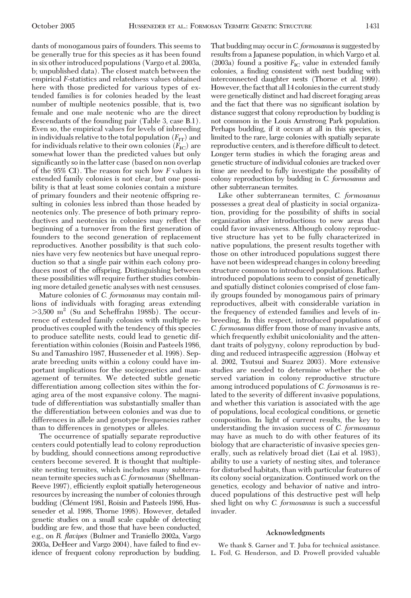dants of monogamous pairs of founders. This seems to be generally true for this species as it has been found in six other introduced populations (Vargo et al. 2003a, b; unpublished data). The closest match between the empirical *F*-statistics and relatedness values obtained here with those predicted for various types of extended families is for colonies headed by the least number of multiple neotenics possible, that is, two female and one male neotenic who are the direct descendants of the founding pair (Table 3, case B.1). Even so, the empirical values for levels of inbreeding in individuals relative to the total population  $(F_{IT})$  and for individuals relative to their own colonies  $(F_{\text{IC}})$  are somewhat lower than the predicted values but only significantly so in the latter case (based on non overlap of the 95% CI). The reason for such low *F* values in extended family colonies is not clear, but one possibility is that at least some colonies contain a mixture of primary founders and their neotenic offspring resulting in colonies less inbred than those headed by neotenics only. The presence of both primary reproductives and neotenics in colonies may reßect the beginning of a turnover from the first generation of founders to the second generation of replacement reproductives. Another possibility is that such colonies have very few neotenics but have unequal reproduction so that a single pair within each colony produces most of the offspring. Distinguishing between these possibilities will require further studies combining more detailed genetic analyses with nest censuses.

Mature colonies of *C. formosanus* may contain millions of individuals with foraging areas extending  $>3,500$  m<sup>2</sup> (Su and Scheffrahn 1988b). The occurrence of extended family colonies with multiple reproductives coupled with the tendency of this species to produce satellite nests, could lead to genetic differentiation within colonies (Roisin and Pasteels 1986, Su and Tamashiro 1987, Husseneder et al. 1998). Separate breeding units within a colony could have important implications for the sociogenetics and management of termites. We detected subtle genetic differentiation among collection sites within the foraging area of the most expansive colony. The magnitude of differentiation was substantially smaller than the differentiation between colonies and was due to differences in allele and genotype frequencies rather than to differences in genotypes or alleles.

The occurrence of spatially separate reproductive centers could potentially lead to colony reproduction by budding, should connections among reproductive centers become severed. It is thought that multiplesite nesting termites, which includes many subterranean termite species such as*C. formosanus* (Shellman-Reeve 1997), efficiently exploit spatially heterogeneous resources by increasing the number of colonies through budding (Clément 1981, Roisin and Pasteels 1986, Husseneder et al. 1998, Thorne 1998). However, detailed genetic studies on a small scale capable of detecting budding are few, and those that have been conducted, e.g., on *R. flavipes* (Bulmer and Traniello 2002a, Vargo 2003a, DeHeer and Vargo 2004), have failed to find evidence of frequent colony reproduction by budding.

That buddingmay occurin*C. formosanus*is suggested by results from a Japanese population, in which Vargo et al. (2003a) found a positive  $F_{\text{IC}}$  value in extended family colonies, a finding consistent with nest budding with interconnected daughter nests (Thorne et al. 1999). However, the fact that all 14 colonies in the current study were genetically distinct and had discreet foraging areas and the fact that there was no significant isolation by distance suggest that colony reproduction by budding is not common in the Louis Armstrong Park population. Perhaps budding, if it occurs at all in this species, is limited to the rare, large colonies with spatially separate reproductive centers, and is therefore difficult to detect. Longer term studies in which the foraging areas and genetic structure of individual colonies are tracked over time are needed to fully investigate the possibility of colony reproduction by budding in *C. formosanus* and other subterranean termites.

Like other subterranean termites, *C. formosanus* possesses a great deal of plasticity in social organization, providing for the possibility of shifts in social organization after introductions to new areas that could favor invasiveness. Although colony reproductive structure has yet to be fully characterized in native populations, the present results together with those on other introduced populations suggest there have not been widespread changes in colony breeding structure common to introduced populations. Rather, introduced populations seem to consist of genetically and spatially distinct colonies comprised of close family groups founded by monogamous pairs of primary reproductives, albeit with considerable variation in the frequency of extended families and levels of inbreeding. In this respect, introduced populations of *C. formosanus* differ from those of many invasive ants, which frequently exhibit unicoloniality and the attendant traits of polygyny, colony reproduction by budding and reduced intraspecific aggression (Holway et al. 2002, Tsutsui and Suarez 2003). More extensive studies are needed to determine whether the observed variation in colony reproductive structure among introduced populations of *C. formosanus* is related to the severity of different invasive populations, and whether this variation is associated with the age of populations, local ecological conditions, or genetic composition. In light of current results, the key to understanding the invasion success of *C. formosanus* may have as much to do with other features of its biology that are characteristic of invasive species generally, such as relatively broad diet (Lai et al. 1983), ability to use a variety of nesting sites, and tolerance for disturbed habitats, than with particular features of its colony social organization. Continued work on the genetics, ecology and behavior of native and introduced populations of this destructive pest will help shed light on why *C. formosanus* is such a successful invader.

#### **Acknowledgments**

We thank S. Garner and T. Juba for technical assistance. L. Foil, G. Henderson, and D. Prowell provided valuable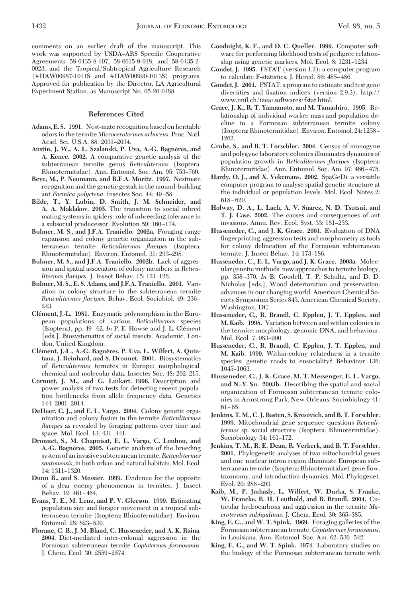comments on an earlier draft of the manuscript. This work was supported by USDA-ARS Specific Cooperative Agreements 58-6435-8-107, 58-6615-9-018, and 58-6435-2- 0023, and the Tropical/Subtropical Agriculture Research (#HAW00987-1011S and #HAW00990-1013S) programs. Approved for publication by the Director, LA Agricultural Experiment Station, as Manuscript No. 05-26-0188.

# **References Cited**

- **Adams,E. S. 1991.** Nest-mate recognition based on heritable odors in the termite *Microcerotermes arboreus.* Proc. Natl. Acad. Sci. U.S.A. 88: 2031-2034.
- Austin, J. W., A. L. Szalanski, P. Uva, A.-G. Bagnères, and **A. Kence. 2002.** A comparative genetic analysis of the subterranean termite genus *Reticulitermes* (Isoptera: Rhinotermitidae). Ann. Entomol. Soc. Am. 95: 753-760.
- **Beye, M., P. Neumann, and R.F.A. Moritz. 1997.** Nestmate recognition and the genetic gestalt in the mound-building ant *Formica polyctena*. Insectes Soc. 44: 49–58.
- **Bilde, T., Y. Lubin, D. Smith, J. M. Schneider, and A. A. Maklakov. 2005.** The transition to social inbred mating systems in spiders: role of inbreeding tolerance in a subsocial predecessor. Evolution 59: 160–174.
- **Bulmer, M. S., and J.F.A. Traniello. 2002a.** Foraging range expansion and colony genetic organization in the subterranean termite *Reticulitermes flavipes* (Isoptera: Rhinotermitidae). Environ. Entomol. 31: 293-298.
- **Bulmer, M. S., and J.F.A. Traniello. 2002b.** Lack of aggression and spatial association of colony members in *Reticulitermes flavipes.* J. Insect Behav. 15: 121–126.
- **Bulmer, M. S., E. S. Adams, and J.F.A. Traniello. 2001.** Variation in colony structure in the subterranean termite *Reticulitermes flavipes.* Behav. Ecol. Sociobiol. 49: 236-243.
- **Cle´ment, J.-L. 1981.** Enzymatic polymorphism in the European populations of various *Reticulitermes* species (Isoptera), pp.  $49-62$ . *In* P. E. Howse and J.-L. Clément [eds.], Biosystematics of social insects. Academic, London, United Kingdom.
- **Cle´ment, J.-L., A.-G. Bagne`res, P. Uva, L. Wilfert, A. Quintana, J. Reinhard, and S. Dronnet. 2001.** Biosystematics of *Reticulitermes* termites in Europe: morphological, chemical and molecular data. Insectes Soc. 48: 202–215.
- **Cornuet, J. M., and G. Luikart. 1996.** Description and power analysis of two tests for detecting recent population bottlenecks from allele frequency data. Genetics 144: 2001–2014.
- **DeHeer, C. J., and E. L. Vargo. 2004.** Colony genetic organization and colony fusion in the termite *Reticulitermes flavipes* as revealed by foraging patterns over time and space. Mol. Ecol. 13: 431–441.
- **Dronnet, S., M. Chapuisat, E. L. Vargo, C. Louhou, and A.-G. Bagne`res. 2005.** Genetic analysis of the breeding system of aninvasive subterranean termite,*Reticulitermes santonensis,* in both urban and natural habitats. Mol. Ecol. 14: 1311-1320.
- **Dunn R., and S. Messier. 1999.** Evidence for the opposite of a dear enemy phenomenon in termites. J. Insect Behav. 12: 461-464.
- **Evans, T. E., M. Lenz, and P. V. Gleeson. 1999.** Estimating population size and forager movement in a tropical subterranean termite (Isoptera: Rhinotermitidae). Environ. Entomol. 28: 823–830.
- **Florane, C. B., J. M. Bland, C. Husseneder, and A. K. Raina. 2004.** Diet-mediated inter-colonial aggression in the Formosan subterranean termite *Coptotermes formosanus.* J. Chem. Ecol. 30: 2559-2574.
- **Goodnight, K. F., and D. C. Queller. 1999.** Computer software for performing likelihood tests of pedigree relationship using genetic markers. Mol. Ecol. 8: 1231–1234.
- **Goudet, J. 1995.** FSTAT (version 1.2): a computer program to calculate F-statistics. J. Hered. 86: 485–486.
- **Goudet, J. 2001.** FSTAT, a program to estimate and test gene diversities and fixation indices (version 2.9.3). http:// www.unil.ch/izea/softwares/fstat.html.
- **Grace, J. K., R. T. Yamamoto, and M. Tamashiro. 1995.** Relationship of individual worker mass and population decline in a Formosan subterranean termite colony (Isoptera: Rhinotermitidae). Environ. Entomol. 24: 1258 – 1262.
- **Grube, S., and B. T. Forschler. 2004.** Census of monogyne and polygyne laboratory colonies illuminates dynamics of population growth in *Reticulitermes flavipes* (Isoptera: Rhinotermitidae). Ann. Entomol. Soc. Am. 97: 466-475.
- **Hardy, O. J., and X. Vekemans. 2002.** SpaGeDi: a versatile computer program to analyse spatial genetic structure at the individual or population levels. Mol. Ecol. Notes 2: 618 - 620.
- **Holway, D. A., L. Lach, A. V. Suarez, N. D. Tsutsui, and T. J. Case. 2002.** The causes and consequences of ant invasions. Annu. Rev. Ecol. Syst. 33: 181-233.
- **Husseneder, C., and J. K. Grace. 2001.** Evaluation of DNA fingerprinting, aggression tests and morphometry as tools for colony delineation of the Formosan subterranean termite. J. Insect Behav. 14: 173-186.
- **Husseneder, C., E. L. Vargo, and J. K. Grace. 2003a.** Molecular genetic methods: new approaches to termite biology, pp. 358 Ð370. *In* B. Goodell, T. P. Schultz, and D. D. Nicholas [eds.], Wood deterioration and preservation: advances in our changing world. American Chemical Society Symposium Series 845. American Chemical Society, Washington, DC.
- **Husseneder, C., R. Brandl, C. Epplen, J. T. Epplen, and M. Kaib. 1998.** Variation between and within colonies in the termite: morphology, genomic DNA, and behaviour. Mol. Ecol. 7: 983-990.
- **Husseneder, C., R. Brandl, C. Epplen, J. T. Epplen, and M. Kaib. 1999.** Within-colony relatedness in a termite species: genetic roads to eusociality? Behaviour 136: 1045-1063.
- **Husseneder, C., J. K. Grace, M. T. Messenger, E. L. Vargo, and N.-Y. Su. 2003b.** Describing the spatial and social organization of Formosan subterranean termite colonies in Armstrong Park, New Orleans. Sociobiology 41:  $61 - 65$
- **Jenkins, T. M., C. J. Basten, S. Kresovich, and B. T. Forschler. 1999.** Mitochondrial gene sequence questions *Reticulitermes* sp. social structure (Isoptera: Rhinotermitidae). Sociobiology 34: 161-172.
- **Jenkins, T. M., R. E. Dean, R. Verkerk, and B. T. Forschler. 2001.** Phylogenetic analyses of two mitochondrial genes and one nuclear intron region illuminate European subterranean termite (Isoptera: Rhinotermitidae) gene ßow, taxonomy, and introduction dynamics. Mol. Phylogenet. Evol. 20: 286-293.
- **Kaib, M., P. Jmhasly, L. Wilfert, W. Durka, S. Franke, W. Francke, R. H. Leuthold, and R. Brandl. 2004.** Cuticular hydrocarbons and aggression in the termite *Macrotermes subhyalinus.* J. Chem. Ecol. 30: 365-385.
- **King, E. G., and W. T. Spink. 1969.** Foraging galleries of the Formosan subterranean termite,*Coptotermes formosanus,* in Louisiana. Ann. Entomol. Soc. Am. 62: 536-542.
- **King, E. G., and W. T. Spink. 1974.** Laboratory studies on the biology of the Formosan subterranean termite with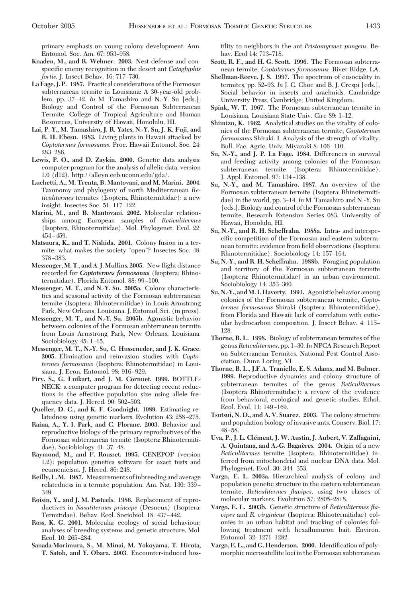primary emphasis on young colony development. Ann. Entomol. Soc. Am. 67: 953-958.

- **Knaden, M., and R. Wehner. 2003.** Nest defense and conspecific enemy recognition in the desert ant *Cataglyphis fortis.* J. Insect Behav. 16: 717-730.
- **La Fage, J. P. 1987.** Practical considerations of the Formosan subterranean termite in Louisiana: A 30-year-old problem, pp. 37–42. *In* M. Tamashiro and N.-Y. Su [eds.], Biology and Control of the Formosan Subterranean Termite. College of Tropical Agriculture and Human Resources, University of Hawaii, Honolulu, HI.
- **Lai, P. Y., M. Tamashiro, J. R. Yates, N.-Y. Su, J. K. Fuji, and R. H. Ebesu. 1983.** Living plants in Hawaii attacked by *Coptotermes formosanus.* Proc. Hawaii Entomol. Soc. 24: 283-286.
- **Lewis, P. O., and D. Zaykin. 2000.** Genetic data analysis: computer program for the analysis of allelic data, version 1.0 (d12). http://alleyn.eeb.uconn.edu/gda/.
- **Luchetti, A., M. Trenta, B. Mantovani, and M. Marini. 2004.** Taxonomy and phylogeny of north Mediterranean *Reticulitermes* termites (Isoptera, Rhinotermitidae): a new insight. Insectes Soc. 51: 117-122.
- **Marini, M., and B. Mantovani. 2002.** Molecular relationships among European samples of *Reticulitermes* (Isoptera, Rhinotermitidae). Mol. Phylogenet. Evol. 22:  $454 - 459.$
- **Matsuura, K., and T. Nishida. 2001.** Colony fusion in a termite: what makes the society "open"? Insectes Soc. 48: 378-383.
- **Messenger,M. T., and A. J.Mullins. 2005.** New ßight distance recorded for *Coptotermes formosanus* (Isoptera: Rhinotermitidae). Florida Entomol. 88: 99-100.
- **Messenger, M. T., and N.-Y. Su. 2005a.** Colony characteristics and seasonal activity of the Formosan subterranean termite (Isoptera: Rhinotermitidae) in Louis Armstrong Park, New Orleans, Louisiana. J. Entomol. Sci. (in press).
- **Messenger, M. T., and N.-Y. Su. 2005b.** Agonistic behavior between colonies of the Formosan subterranean termite from Louis Armstrong Park, New Orleans, Louisiana. Sociobiology 45: 1-15.
- **Messenger, M. T., N.-Y. Su, C. Husseneder, and J. K. Grace. 2005.** Elimination and reinvasion studies with *Coptotermes formosanus* (Isoptera: Rhinotermitidae) in Louisiana. J. Econ. Entomol. 98: 916-929.
- **Piry, S., G. Luikart, and J. M. Cornuet. 1999.** BOTTLE-NECK: a computer program for detecting recent reductions in the effective population size using allele frequency data. J. Hered. 90: 502-503.
- **Queller, D. C., and K. F. Goodnight. 1989.** Estimating relatedness using genetic markers. Evolution 43: 258-275.
- **Raina, A., Y. I. Park, and C. Florane. 2003.** Behavior and reproductive biology of the primary reproductives of the Formosan subterranean termite (Isoptera: Rhinotermitidae). Sociobiology 41: 37-48.
- **Raymond, M., and F. Rousset. 1995.** GENEPOP (version 1.2): population genetics software for exact tests and ecumenicism. J. Hered. 86: 248.
- **Reilly, L.M. 1987.** Measurements ofinbreeding and average relatedness in a termite population. Am. Nat. 130: 339 – 349.
- **Roisin, Y., and J. M. Pasteels. 1986.** Replacement of reproductives in *Nasutitermes princeps* (Desneux) (Isoptera: Termitidae). Behav. Ecol. Sociobiol. 18: 437–442.
- **Ross, K. G. 2001.** Molecular ecology of social behaviour: analyses of breeding systems and genetic structure. Mol. Ecol. 10: 265–284.
- **Sanada-Morimura, S., M. Minai, M. Yokoyama, T. Hirota, T. Satoh, and Y. Obara. 2003.** Encounter-induced hos-

tility to neighbors in the ant *Pristomyrmex pungens.* Behav. Ecol 14: 713-718.

- **Scott, R. F., and H. G. Scott. 1996.** The Formosan subterranean termite, *Coptotermes formosanus.* River Ridge, LA.
- **Shellman-Reeve, J. S. 1997.** The spectrum of eusociality in termites, pp. 52–93. *In* J. C. Choe and B. J. Crespi [eds.], Social behavior in insects and arachnids. Cambridge University Press, Cambridge, United Kingdom.
- **Spink, W. T. 1967.** The Formosan subterranean termite in Louisiana. Louisiana State Univ. Circ 89: 1-12.
- **Shimizu, K. 1962.** Analytical studies on the vitality of colonies of the Formosan subterranean termite, *Coptotermes formosanus* Shiraki. I. Analysis of the strength of vitality. Bull. Fac. Agric. Univ. Miyazaki 8: 106-110.
- **Su, N.-Y., and J. P. La Fage. 1984.** Differences in survival and feeding activity among colonies of the Formosan subterranean termite (Isoptera: Rhinotermitidae). J. Appl. Entomol. 97: 134-138.
- **Su, N.-Y., and M. Tamashiro. 1987.** An overview of the Formosan subterranean termite (Isoptera: Rhinotermitidae) in the world, pp. 3–14. *In* M. Tamashiro and N.-Y. Su [eds.], Biology and control of the Formosan subterranean termite. Research Extension Series 083. University of Hawaii, Honolulu, HI.
- **Su, N.-Y., and R. H. Scheffrahn. 1988a.** Intra- and interspecific competition of the Formosan and eastern subterranean termite: evidence from field observations (Isoptera: Rhinotermitidae). Sociobiology 14: 157-164.
- **Su, N.-Y., and R. H. Scheffrahn. 1988b.** Foraging population and territory of the Formosan subterranean termite (Isoptera: Rhinotermitidae) in an urban environment. Sociobiology 14: 353-360.
- **Su, N.-Y., andM. I.Haverty. 1991.** Agonistic behavior among colonies of the Formosan subterranean termite, *Coptotermes formosanus* Shiraki (Isoptera: Rhinotermitidae), from Florida and Hawaii: lack of correlation with cuticular hydrocarbon composition. J. Insect Behav. 4: 115– 128.
- **Thorne, B. L. 1998.** Biology of subterranean termites of the genus *Reticulitermes*, pp. 1-30. In NPCA Research Report on Subterranean Termites. National Pest Control Association, Dunn Loring, VI.
- **Thorne, B. L., J.F.A. Traniello, E. S. Adams, and M. Bulmer. 1999.** Reproductive dynamics and colony structure of subterranean termites of the genus *Reticulitermes* (Isoptera Rhinotermitidae): a review of the evidence from behavioral, ecological and genetic studies. Ethol. Ecol. Evol. 11: 149-169.
- **Tsutsui, N. D., and A. V. Suarez. 2003.** The colony structure and population biology of invasive ants. Conserv. Biol. 17: 48 Ð58.
- **Uva, P., J. L. Cle´ment, J. W. Austin, J. Aubert, V. Zaffagnini, A. Quintana, and A.-G. Bagne`res. 2004.** Origin of a new *Reticulitermes* termite (Isoptera, Rhinotermitidae) inferred from mitochondrial and nuclear DNA data. Mol. Phylogenet. Evol. 30: 344-353.
- **Vargo, E. L. 2003a.** Hierarchical analysis of colony and population genetic structure in the eastern subterranean termite, *Reticulitermes flavipes,* using two classes of molecular markers. Evolution 57: 2805-2818.
- **Vargo, E. L. 2003b.** Genetic structure of *Reticulitermes flavipes* and *R. virginicus* (Isoptera: Rhinotermitidae) colonies in an urban habitat and tracking of colonies following treatment with hexaßumuron bait. Environ. Entomol. 32: 1271-1282.
- Vargo, E. L., and G. Henderson. 2000. Identification of polymorphic microsatellite loci in the Formosan subterranean